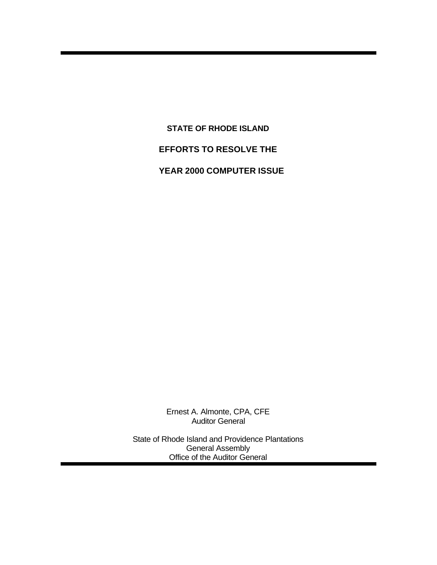**STATE OF RHODE ISLAND EFFORTS TO RESOLVE THE YEAR 2000 COMPUTER ISSUE**

Ernest A. Almonte, CPA, CFE Auditor General

State of Rhode Island and Providence Plantations General Assembly Office of the Auditor General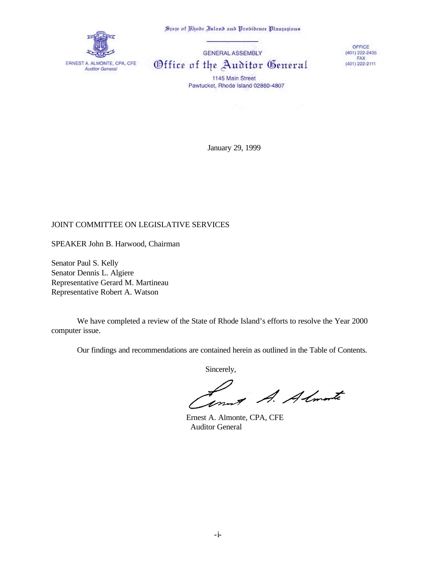State of Rhode Island and Probidence Plantations



**GENERAL ASSEMBLY** Office of the Auditor General

OFFICE  $(401)$  222-2435  $FAX$ <br>(401) 222-2111

1145 Main Street Pawtucket, Rhode Island 02860-4807

January 29, 1999

#### JOINT COMMITTEE ON LEGISLATIVE SERVICES

SPEAKER John B. Harwood, Chairman

Senator Paul S. Kelly Senator Dennis L. Algiere Representative Gerard M. Martineau Representative Robert A. Watson

We have completed a review of the State of Rhode Island's efforts to resolve the Year 2000 computer issue.

Our findings and recommendations are contained herein as outlined in the Table of Contents.

Sincerely,

A. Almoste amos

 Ernest A. Almonte, CPA, CFE Auditor General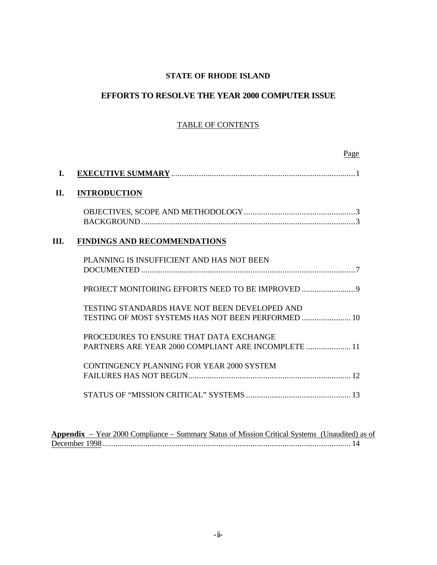#### **STATE OF RHODE ISLAND**

#### **EFFORTS TO RESOLVE THE YEAR 2000 COMPUTER ISSUE**

#### TABLE OF CONTENTS

|                | Page                                                                                           |
|----------------|------------------------------------------------------------------------------------------------|
| $\mathbf{I}$ . |                                                                                                |
| II.            | <b>INTRODUCTION</b>                                                                            |
|                |                                                                                                |
| HL.            | <b>FINDINGS AND RECOMMENDATIONS</b>                                                            |
|                | PLANNING IS INSUFFICIENT AND HAS NOT BEEN                                                      |
|                |                                                                                                |
|                | TESTING STANDARDS HAVE NOT BEEN DEVELOPED AND                                                  |
|                | PROCEDURES TO ENSURE THAT DATA EXCHANGE<br>PARTNERS ARE YEAR 2000 COMPLIANT ARE INCOMPLETE  11 |
|                | CONTINGENCY PLANNING FOR YEAR 2000 SYSTEM                                                      |
|                |                                                                                                |
|                |                                                                                                |

**Appendix** – Year 2000 Compliance – Summary Status of Mission Critical Systems (Unaudited) as of December 1998.................................................................................................................... 14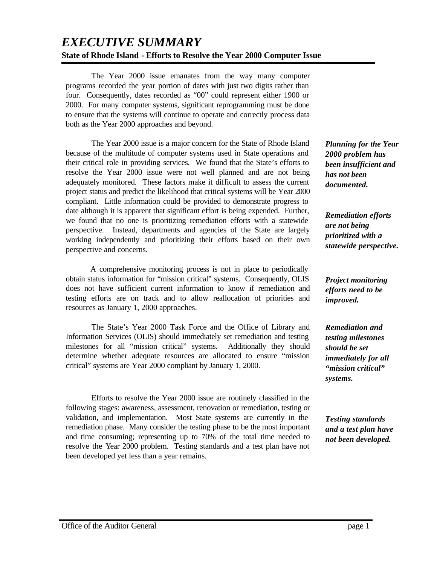## *EXECUTIVE SUMMARY* **State of Rhode Island - Efforts to Resolve the Year 2000 Computer Issue**

The Year 2000 issue emanates from the way many computer programs recorded the year portion of dates with just two digits rather than four. Consequently, dates recorded as "00" could represent either 1900 or 2000. For many computer systems, significant reprogramming must be done to ensure that the systems will continue to operate and correctly process data both as the Year 2000 approaches and beyond.

The Year 2000 issue is a major concern for the State of Rhode Island because of the multitude of computer systems used in State operations and their critical role in providing services. We found that the State's efforts to resolve the Year 2000 issue were not well planned and are not being adequately monitored. These factors make it difficult to assess the current project status and predict the likelihood that critical systems will be Year 2000 compliant. Little information could be provided to demonstrate progress to date although it is apparent that significant effort is being expended. Further, we found that no one is prioritizing remediation efforts with a statewide perspective. Instead, departments and agencies of the State are largely working independently and prioritizing their efforts based on their own perspective and concerns.

A comprehensive monitoring process is not in place to periodically obtain status information for "mission critical" systems. Consequently, OLIS does not have sufficient current information to know if remediation and testing efforts are on track and to allow reallocation of priorities and resources as January 1, 2000 approaches.

The State's Year 2000 Task Force and the Office of Library and Information Services (OLIS) should immediately set remediation and testing milestones for all "mission critical" systems. Additionally they should determine whether adequate resources are allocated to ensure "mission critical" systems are Year 2000 compliant by January 1, 2000.

Efforts to resolve the Year 2000 issue are routinely classified in the following stages: awareness, assessment, renovation or remediation, testing or validation, and implementation. Most State systems are currently in the remediation phase. Many consider the testing phase to be the most important and time consuming; representing up to 70% of the total time needed to resolve the Year 2000 problem. Testing standards and a test plan have not been developed yet less than a year remains.

*Planning for the Year 2000 problem has been insufficient and has not been documented.*

*Remediation efforts are not being prioritized with a statewide perspective.*

*Project monitoring efforts need to be improved.*

*Remediation and testing milestones should be set immediately for all "mission critical" systems.*

*Testing standards and a test plan have not been developed.*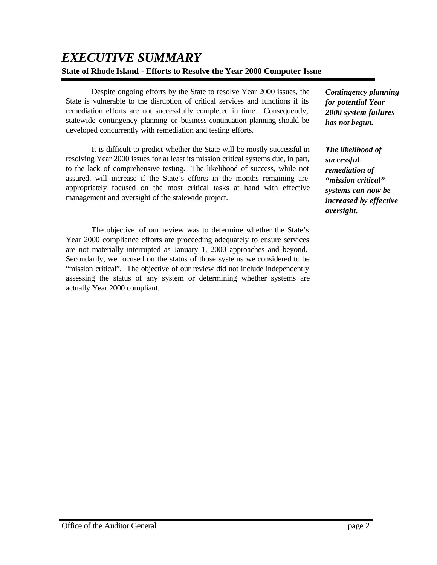## *EXECUTIVE SUMMARY* **State of Rhode Island - Efforts to Resolve the Year 2000 Computer Issue**

Despite ongoing efforts by the State to resolve Year 2000 issues, the State is vulnerable to the disruption of critical services and functions if its remediation efforts are not successfully completed in time. Consequently, statewide contingency planning or business-continuation planning should be developed concurrently with remediation and testing efforts.

It is difficult to predict whether the State will be mostly successful in resolving Year 2000 issues for at least its mission critical systems due, in part, to the lack of comprehensive testing. The likelihood of success, while not assured, will increase if the State's efforts in the months remaining are appropriately focused on the most critical tasks at hand with effective management and oversight of the statewide project.

The objective of our review was to determine whether the State's Year 2000 compliance efforts are proceeding adequately to ensure services are not materially interrupted as January 1, 2000 approaches and beyond. Secondarily, we focused on the status of those systems we considered to be "mission critical". The objective of our review did not include independently assessing the status of any system or determining whether systems are actually Year 2000 compliant.

*Contingency planning for potential Year 2000 system failures has not begun.*

*The likelihood of successful remediation of "mission critical" systems can now be increased by effective oversight.*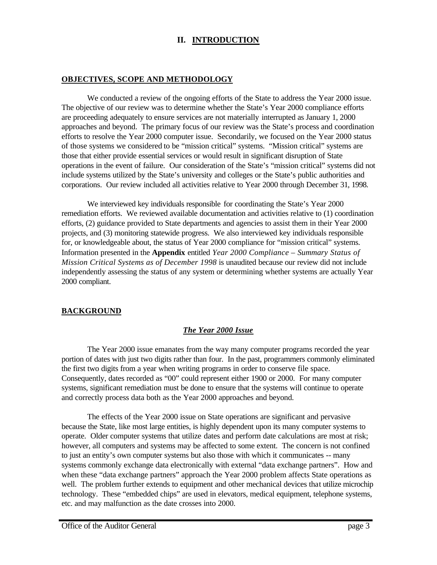## **II. INTRODUCTION**

#### **OBJECTIVES, SCOPE AND METHODOLOGY**

We conducted a review of the ongoing efforts of the State to address the Year 2000 issue. The objective of our review was to determine whether the State's Year 2000 compliance efforts are proceeding adequately to ensure services are not materially interrupted as January 1, 2000 approaches and beyond. The primary focus of our review was the State's process and coordination efforts to resolve the Year 2000 computer issue. Secondarily, we focused on the Year 2000 status of those systems we considered to be "mission critical" systems. "Mission critical" systems are those that either provide essential services or would result in significant disruption of State operations in the event of failure. Our consideration of the State's "mission critical" systems did not include systems utilized by the State's university and colleges or the State's public authorities and corporations. Our review included all activities relative to Year 2000 through December 31, 1998.

We interviewed key individuals responsible for coordinating the State's Year 2000 remediation efforts. We reviewed available documentation and activities relative to (1) coordination efforts, (2) guidance provided to State departments and agencies to assist them in their Year 2000 projects, and (3) monitoring statewide progress. We also interviewed key individuals responsible for, or knowledgeable about, the status of Year 2000 compliance for "mission critical" systems. Information presented in the **Appendix** entitled *Year 2000 Compliance – Summary Status of Mission Critical Systems as of December 1998* is unaudited because our review did not include independently assessing the status of any system or determining whether systems are actually Year 2000 compliant.

#### **BACKGROUND**

#### *The Year 2000 Issue*

The Year 2000 issue emanates from the way many computer programs recorded the year portion of dates with just two digits rather than four. In the past, programmers commonly eliminated the first two digits from a year when writing programs in order to conserve file space. Consequently, dates recorded as "00" could represent either 1900 or 2000. For many computer systems, significant remediation must be done to ensure that the systems will continue to operate and correctly process data both as the Year 2000 approaches and beyond.

The effects of the Year 2000 issue on State operations are significant and pervasive because the State, like most large entities, is highly dependent upon its many computer systems to operate. Older computer systems that utilize dates and perform date calculations are most at risk; however, all computers and systems may be affected to some extent. The concern is not confined to just an entity's own computer systems but also those with which it communicates -- many systems commonly exchange data electronically with external "data exchange partners". How and when these "data exchange partners" approach the Year 2000 problem affects State operations as well. The problem further extends to equipment and other mechanical devices that utilize microchip technology. These "embedded chips" are used in elevators, medical equipment, telephone systems, etc. and may malfunction as the date crosses into 2000.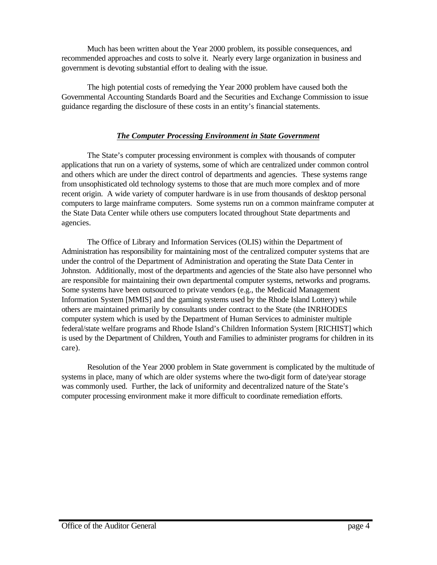Much has been written about the Year 2000 problem, its possible consequences, and recommended approaches and costs to solve it. Nearly every large organization in business and government is devoting substantial effort to dealing with the issue.

The high potential costs of remedying the Year 2000 problem have caused both the Governmental Accounting Standards Board and the Securities and Exchange Commission to issue guidance regarding the disclosure of these costs in an entity's financial statements.

## *The Computer Processing Environment in State Government*

The State's computer processing environment is complex with thousands of computer applications that run on a variety of systems, some of which are centralized under common control and others which are under the direct control of departments and agencies. These systems range from unsophisticated old technology systems to those that are much more complex and of more recent origin. A wide variety of computer hardware is in use from thousands of desktop personal computers to large mainframe computers. Some systems run on a common mainframe computer at the State Data Center while others use computers located throughout State departments and agencies.

The Office of Library and Information Services (OLIS) within the Department of Administration has responsibility for maintaining most of the centralized computer systems that are under the control of the Department of Administration and operating the State Data Center in Johnston. Additionally, most of the departments and agencies of the State also have personnel who are responsible for maintaining their own departmental computer systems, networks and programs. Some systems have been outsourced to private vendors (e.g., the Medicaid Management Information System [MMIS] and the gaming systems used by the Rhode Island Lottery) while others are maintained primarily by consultants under contract to the State (the INRHODES computer system which is used by the Department of Human Services to administer multiple federal/state welfare programs and Rhode Island's Children Information System [RICHIST] which is used by the Department of Children, Youth and Families to administer programs for children in its care).

Resolution of the Year 2000 problem in State government is complicated by the multitude of systems in place, many of which are older systems where the two-digit form of date/year storage was commonly used. Further, the lack of uniformity and decentralized nature of the State's computer processing environment make it more difficult to coordinate remediation efforts.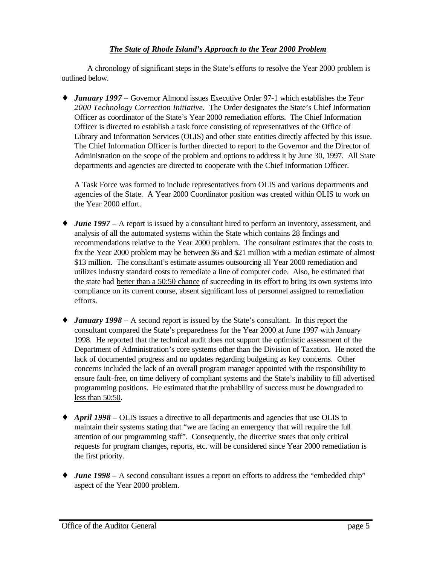## *The State of Rhode Island's Approach to the Year 2000 Problem*

A chronology of significant steps in the State's efforts to resolve the Year 2000 problem is outlined below.

♦ *January 1997* – Governor Almond issues Executive Order 97-1 which establishes the *Year 2000 Technology Correction Initiative.* The Order designates the State's Chief Information Officer as coordinator of the State's Year 2000 remediation efforts. The Chief Information Officer is directed to establish a task force consisting of representatives of the Office of Library and Information Services (OLIS) and other state entities directly affected by this issue. The Chief Information Officer is further directed to report to the Governor and the Director of Administration on the scope of the problem and options to address it by June 30, 1997. All State departments and agencies are directed to cooperate with the Chief Information Officer.

A Task Force was formed to include representatives from OLIS and various departments and agencies of the State. A Year 2000 Coordinator position was created within OLIS to work on the Year 2000 effort.

- ♦ *June 1997* A report is issued by a consultant hired to perform an inventory, assessment, and analysis of all the automated systems within the State which contains 28 findings and recommendations relative to the Year 2000 problem. The consultant estimates that the costs to fix the Year 2000 problem may be between \$6 and \$21 million with a median estimate of almost \$13 million. The consultant's estimate assumes outsourcing all Year 2000 remediation and utilizes industry standard costs to remediate a line of computer code. Also, he estimated that the state had better than a 50:50 chance of succeeding in its effort to bring its own systems into compliance on its current course, absent significant loss of personnel assigned to remediation efforts.
- ♦ *January 1998* A second report is issued by the State's consultant. In this report the consultant compared the State's preparedness for the Year 2000 at June 1997 with January 1998. He reported that the technical audit does not support the optimistic assessment of the Department of Administration's core systems other than the Division of Taxation. He noted the lack of documented progress and no updates regarding budgeting as key concerns. Other concerns included the lack of an overall program manager appointed with the responsibility to ensure fault-free, on time delivery of compliant systems and the State's inability to fill advertised programming positions. He estimated that the probability of success must be downgraded to less than 50:50.
- ♦ *April 1998* OLIS issues a directive to all departments and agencies that use OLIS to maintain their systems stating that "we are facing an emergency that will require the full attention of our programming staff". Consequently, the directive states that only critical requests for program changes, reports, etc. will be considered since Year 2000 remediation is the first priority.
- ♦ *June 1998* A second consultant issues a report on efforts to address the "embedded chip" aspect of the Year 2000 problem.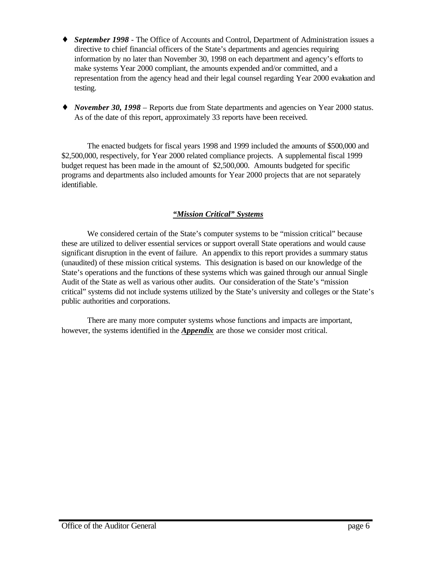- ♦ *September 1998* The Office of Accounts and Control, Department of Administration issues a directive to chief financial officers of the State's departments and agencies requiring information by no later than November 30, 1998 on each department and agency's efforts to make systems Year 2000 compliant, the amounts expended and/or committed, and a representation from the agency head and their legal counsel regarding Year 2000 evaluation and testing.
- ♦ *November 30, 1998* Reports due from State departments and agencies on Year 2000 status. As of the date of this report, approximately 33 reports have been received.

The enacted budgets for fiscal years 1998 and 1999 included the amounts of \$500,000 and \$2,500,000, respectively, for Year 2000 related compliance projects. A supplemental fiscal 1999 budget request has been made in the amount of \$2,500,000. Amounts budgeted for specific programs and departments also included amounts for Year 2000 projects that are not separately identifiable.

## *"Mission Critical" Systems*

We considered certain of the State's computer systems to be "mission critical" because these are utilized to deliver essential services or support overall State operations and would cause significant disruption in the event of failure. An appendix to this report provides a summary status (unaudited) of these mission critical systems. This designation is based on our knowledge of the State's operations and the functions of these systems which was gained through our annual Single Audit of the State as well as various other audits. Our consideration of the State's "mission critical" systems did not include systems utilized by the State's university and colleges or the State's public authorities and corporations.

There are many more computer systems whose functions and impacts are important, however, the systems identified in the *Appendix* are those we consider most critical.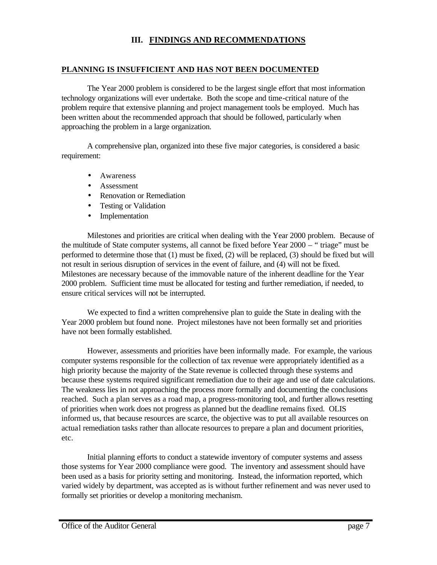## **III. FINDINGS AND RECOMMENDATIONS**

#### **PLANNING IS INSUFFICIENT AND HAS NOT BEEN DOCUMENTED**

The Year 2000 problem is considered to be the largest single effort that most information technology organizations will ever undertake. Both the scope and time-critical nature of the problem require that extensive planning and project management tools be employed. Much has been written about the recommended approach that should be followed, particularly when approaching the problem in a large organization.

A comprehensive plan, organized into these five major categories, is considered a basic requirement:

- Awareness
- Assessment
- Renovation or Remediation
- Testing or Validation
- Implementation

Milestones and priorities are critical when dealing with the Year 2000 problem. Because of the multitude of State computer systems, all cannot be fixed before Year 2000 – " triage" must be performed to determine those that (1) must be fixed, (2) will be replaced, (3) should be fixed but will not result in serious disruption of services in the event of failure, and (4) will not be fixed. Milestones are necessary because of the immovable nature of the inherent deadline for the Year 2000 problem. Sufficient time must be allocated for testing and further remediation, if needed, to ensure critical services will not be interrupted.

We expected to find a written comprehensive plan to guide the State in dealing with the Year 2000 problem but found none. Project milestones have not been formally set and priorities have not been formally established.

However, assessments and priorities have been informally made. For example, the various computer systems responsible for the collection of tax revenue were appropriately identified as a high priority because the majority of the State revenue is collected through these systems and because these systems required significant remediation due to their age and use of date calculations. The weakness lies in not approaching the process more formally and documenting the conclusions reached. Such a plan serves as a road map, a progress-monitoring tool, and further allows resetting of priorities when work does not progress as planned but the deadline remains fixed. OLIS informed us, that because resources are scarce, the objective was to put all available resources on actual remediation tasks rather than allocate resources to prepare a plan and document priorities, etc.

Initial planning efforts to conduct a statewide inventory of computer systems and assess those systems for Year 2000 compliance were good. The inventory and assessment should have been used as a basis for priority setting and monitoring. Instead, the information reported, which varied widely by department, was accepted as is without further refinement and was never used to formally set priorities or develop a monitoring mechanism.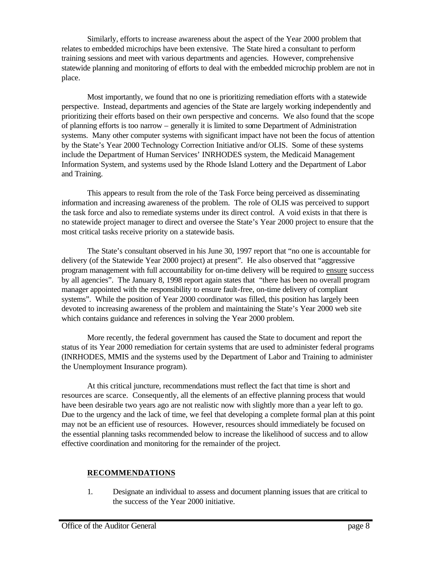Similarly, efforts to increase awareness about the aspect of the Year 2000 problem that relates to embedded microchips have been extensive. The State hired a consultant to perform training sessions and meet with various departments and agencies. However, comprehensive statewide planning and monitoring of efforts to deal with the embedded microchip problem are not in place.

Most importantly, we found that no one is prioritizing remediation efforts with a statewide perspective. Instead, departments and agencies of the State are largely working independently and prioritizing their efforts based on their own perspective and concerns. We also found that the scope of planning efforts is too narrow – generally it is limited to some Department of Administration systems. Many other computer systems with significant impact have not been the focus of attention by the State's Year 2000 Technology Correction Initiative and/or OLIS. Some of these systems include the Department of Human Services' INRHODES system, the Medicaid Management Information System, and systems used by the Rhode Island Lottery and the Department of Labor and Training.

This appears to result from the role of the Task Force being perceived as disseminating information and increasing awareness of the problem. The role of OLIS was perceived to support the task force and also to remediate systems under its direct control. A void exists in that there is no statewide project manager to direct and oversee the State's Year 2000 project to ensure that the most critical tasks receive priority on a statewide basis.

The State's consultant observed in his June 30, 1997 report that "no one is accountable for delivery (of the Statewide Year 2000 project) at present". He also observed that "aggressive program management with full accountability for on-time delivery will be required to ensure success by all agencies". The January 8, 1998 report again states that "there has been no overall program manager appointed with the responsibility to ensure fault-free, on-time delivery of compliant systems". While the position of Year 2000 coordinator was filled, this position has largely been devoted to increasing awareness of the problem and maintaining the State's Year 2000 web site which contains guidance and references in solving the Year 2000 problem.

More recently, the federal government has caused the State to document and report the status of its Year 2000 remediation for certain systems that are used to administer federal programs (INRHODES, MMIS and the systems used by the Department of Labor and Training to administer the Unemployment Insurance program).

At this critical juncture, recommendations must reflect the fact that time is short and resources are scarce. Consequently, all the elements of an effective planning process that would have been desirable two years ago are not realistic now with slightly more than a year left to go. Due to the urgency and the lack of time, we feel that developing a complete formal plan at this point may not be an efficient use of resources. However, resources should immediately be focused on the essential planning tasks recommended below to increase the likelihood of success and to allow effective coordination and monitoring for the remainder of the project.

#### **RECOMMENDATIONS**

1. Designate an individual to assess and document planning issues that are critical to the success of the Year 2000 initiative.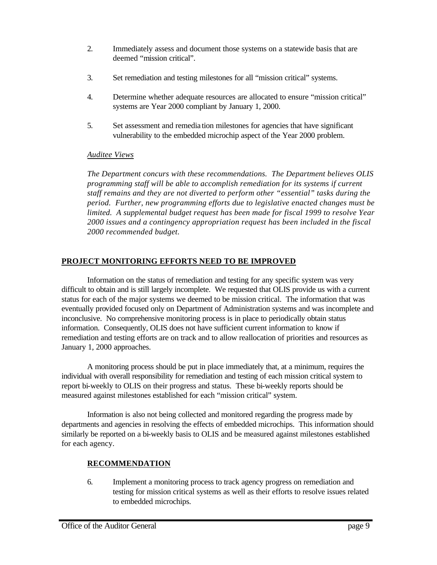- 2. Immediately assess and document those systems on a statewide basis that are deemed "mission critical".
- 3. Set remediation and testing milestones for all "mission critical" systems.
- 4. Determine whether adequate resources are allocated to ensure "mission critical" systems are Year 2000 compliant by January 1, 2000.
- 5. Set assessment and remedia tion milestones for agencies that have significant vulnerability to the embedded microchip aspect of the Year 2000 problem.

### *Auditee Views*

*The Department concurs with these recommendations. The Department believes OLIS programming staff will be able to accomplish remediation for its systems if current staff remains and they are not diverted to perform other "essential" tasks during the period. Further, new programming efforts due to legislative enacted changes must be limited. A supplemental budget request has been made for fiscal 1999 to resolve Year 2000 issues and a contingency appropriation request has been included in the fiscal 2000 recommended budget.*

### **PROJECT MONITORING EFFORTS NEED TO BE IMPROVED**

Information on the status of remediation and testing for any specific system was very difficult to obtain and is still largely incomplete. We requested that OLIS provide us with a current status for each of the major systems we deemed to be mission critical. The information that was eventually provided focused only on Department of Administration systems and was incomplete and inconclusive. No comprehensive monitoring process is in place to periodically obtain status information. Consequently, OLIS does not have sufficient current information to know if remediation and testing efforts are on track and to allow reallocation of priorities and resources as January 1, 2000 approaches.

A monitoring process should be put in place immediately that, at a minimum, requires the individual with overall responsibility for remediation and testing of each mission critical system to report bi-weekly to OLIS on their progress and status. These bi-weekly reports should be measured against milestones established for each "mission critical" system.

Information is also not being collected and monitored regarding the progress made by departments and agencies in resolving the effects of embedded microchips. This information should similarly be reported on a bi-weekly basis to OLIS and be measured against milestones established for each agency.

## **RECOMMENDATION**

6. Implement a monitoring process to track agency progress on remediation and testing for mission critical systems as well as their efforts to resolve issues related to embedded microchips.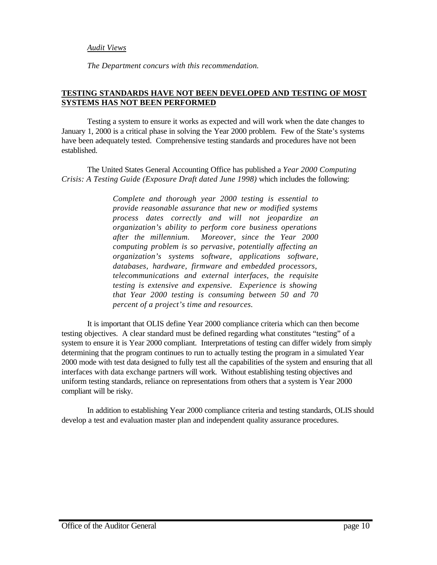#### *Audit Views*

*The Department concurs with this recommendation.*

#### **TESTING STANDARDS HAVE NOT BEEN DEVELOPED AND TESTING OF MOST SYSTEMS HAS NOT BEEN PERFORMED**

Testing a system to ensure it works as expected and will work when the date changes to January 1, 2000 is a critical phase in solving the Year 2000 problem. Few of the State's systems have been adequately tested. Comprehensive testing standards and procedures have not been established.

The United States General Accounting Office has published a *Year 2000 Computing Crisis: A Testing Guide (Exposure Draft dated June 1998)* which includes the following:

> *Complete and thorough year 2000 testing is essential to provide reasonable assurance that new or modified systems process dates correctly and will not jeopardize an organization's ability to perform core business operations after the millennium. Moreover, since the Year 2000 computing problem is so pervasive, potentially affecting an organization's systems software, applications software, databases, hardware, firmware and embedded processors, telecommunications and external interfaces, the requisite testing is extensive and expensive. Experience is showing that Year 2000 testing is consuming between 50 and 70 percent of a project's time and resources.*

It is important that OLIS define Year 2000 compliance criteria which can then become testing objectives. A clear standard must be defined regarding what constitutes "testing" of a system to ensure it is Year 2000 compliant. Interpretations of testing can differ widely from simply determining that the program continues to run to actually testing the program in a simulated Year 2000 mode with test data designed to fully test all the capabilities of the system and ensuring that all interfaces with data exchange partners will work. Without establishing testing objectives and uniform testing standards, reliance on representations from others that a system is Year 2000 compliant will be risky.

In addition to establishing Year 2000 compliance criteria and testing standards, OLIS should develop a test and evaluation master plan and independent quality assurance procedures.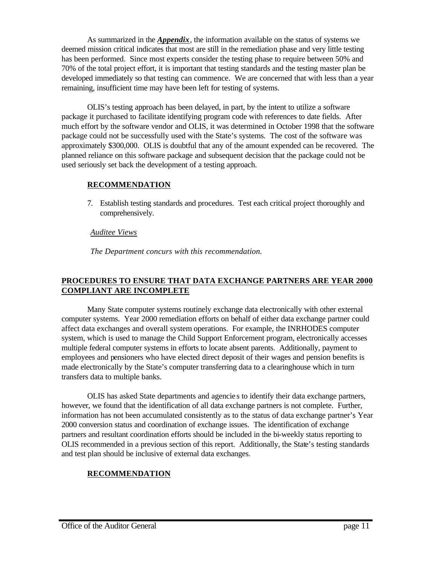As summarized in the *Appendix*, the information available on the status of systems we deemed mission critical indicates that most are still in the remediation phase and very little testing has been performed. Since most experts consider the testing phase to require between 50% and 70% of the total project effort, it is important that testing standards and the testing master plan be developed immediately so that testing can commence. We are concerned that with less than a year remaining, insufficient time may have been left for testing of systems.

OLIS's testing approach has been delayed, in part, by the intent to utilize a software package it purchased to facilitate identifying program code with references to date fields. After much effort by the software vendor and OLIS, it was determined in October 1998 that the software package could not be successfully used with the State's systems. The cost of the software was approximately \$300,000. OLIS is doubtful that any of the amount expended can be recovered. The planned reliance on this software package and subsequent decision that the package could not be used seriously set back the development of a testing approach.

### **RECOMMENDATION**

7. Establish testing standards and procedures. Test each critical project thoroughly and comprehensively.

#### *Auditee Views*

*The Department concurs with this recommendation.*

### **PROCEDURES TO ENSURE THAT DATA EXCHANGE PARTNERS ARE YEAR 2000 COMPLIANT ARE INCOMPLETE**

Many State computer systems routinely exchange data electronically with other external computer systems. Year 2000 remediation efforts on behalf of either data exchange partner could affect data exchanges and overall system operations. For example, the INRHODES computer system, which is used to manage the Child Support Enforcement program, electronically accesses multiple federal computer systems in efforts to locate absent parents. Additionally, payment to employees and pensioners who have elected direct deposit of their wages and pension benefits is made electronically by the State's computer transferring data to a clearinghouse which in turn transfers data to multiple banks.

OLIS has asked State departments and agencie s to identify their data exchange partners, however, we found that the identification of all data exchange partners is not complete. Further, information has not been accumulated consistently as to the status of data exchange partner's Year 2000 conversion status and coordination of exchange issues. The identification of exchange partners and resultant coordination efforts should be included in the bi-weekly status reporting to OLIS recommended in a previous section of this report. Additionally, the State's testing standards and test plan should be inclusive of external data exchanges.

## **RECOMMENDATION**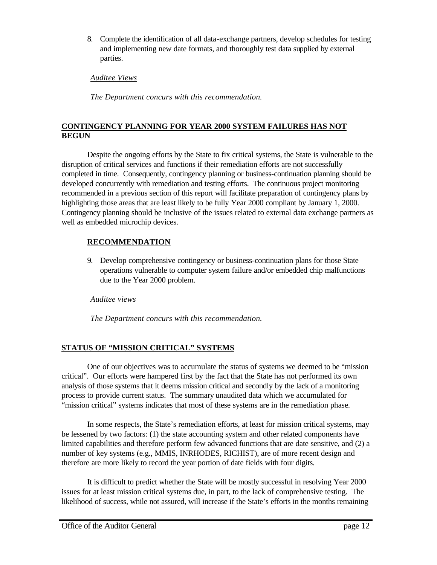8. Complete the identification of all data-exchange partners, develop schedules for testing and implementing new date formats, and thoroughly test data supplied by external parties.

*Auditee Views*

*The Department concurs with this recommendation.*

### **CONTINGENCY PLANNING FOR YEAR 2000 SYSTEM FAILURES HAS NOT BEGUN**

Despite the ongoing efforts by the State to fix critical systems, the State is vulnerable to the disruption of critical services and functions if their remediation efforts are not successfully completed in time. Consequently, contingency planning or business-continuation planning should be developed concurrently with remediation and testing efforts. The continuous project monitoring recommended in a previous section of this report will facilitate preparation of contingency plans by highlighting those areas that are least likely to be fully Year 2000 compliant by January 1, 2000. Contingency planning should be inclusive of the issues related to external data exchange partners as well as embedded microchip devices.

### **RECOMMENDATION**

9. Develop comprehensive contingency or business-continuation plans for those State operations vulnerable to computer system failure and/or embedded chip malfunctions due to the Year 2000 problem.

#### *Auditee views*

*The Department concurs with this recommendation.*

## **STATUS OF "MISSION CRITICAL" SYSTEMS**

One of our objectives was to accumulate the status of systems we deemed to be "mission critical". Our efforts were hampered first by the fact that the State has not performed its own analysis of those systems that it deems mission critical and secondly by the lack of a monitoring process to provide current status. The summary unaudited data which we accumulated for "mission critical" systems indicates that most of these systems are in the remediation phase.

In some respects, the State's remediation efforts, at least for mission critical systems, may be lessened by two factors: (1) the state accounting system and other related components have limited capabilities and therefore perform few advanced functions that are date sensitive, and (2) a number of key systems (e.g., MMIS, INRHODES, RICHIST), are of more recent design and therefore are more likely to record the year portion of date fields with four digits.

It is difficult to predict whether the State will be mostly successful in resolving Year 2000 issues for at least mission critical systems due, in part, to the lack of comprehensive testing. The likelihood of success, while not assured, will increase if the State's efforts in the months remaining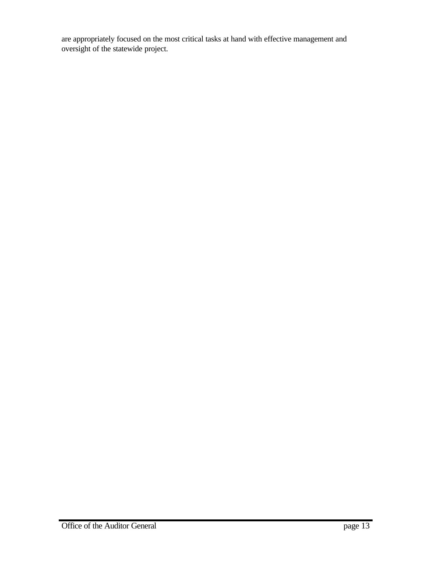are appropriately focused on the most critical tasks at hand with effective management and oversight of the statewide project.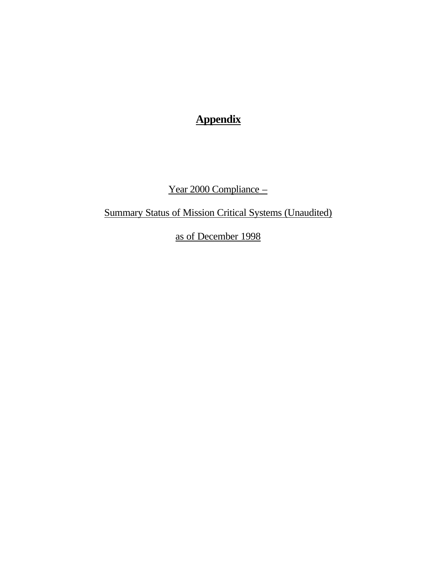# **Appendix**

Year 2000 Compliance –

Summary Status of Mission Critical Systems (Unaudited)

as of December 1998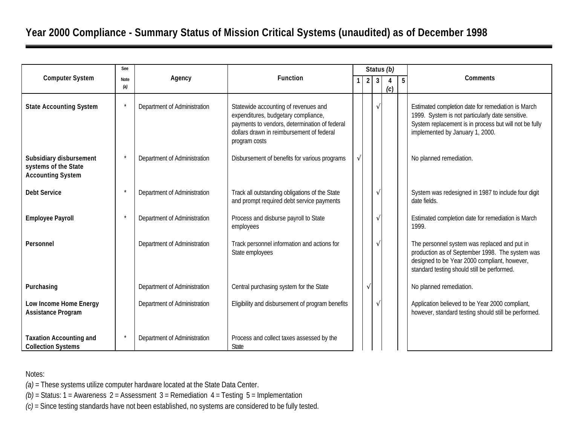|                                                                             | See         | Agency                       |                                                                                                                                                                                            |           |            |                     | Status (b) |   |                                                                                                                                                                                                     |
|-----------------------------------------------------------------------------|-------------|------------------------------|--------------------------------------------------------------------------------------------------------------------------------------------------------------------------------------------|-----------|------------|---------------------|------------|---|-----------------------------------------------------------------------------------------------------------------------------------------------------------------------------------------------------|
| <b>Computer System</b>                                                      | <b>Note</b> |                              | <b>Function</b>                                                                                                                                                                            |           |            | 2 <sup>1</sup><br>3 |            | 5 | <b>Comments</b>                                                                                                                                                                                     |
|                                                                             | (a)         |                              |                                                                                                                                                                                            |           |            |                     | (c)        |   |                                                                                                                                                                                                     |
| <b>State Accounting System</b>                                              | $\star$     | Department of Administration | Statewide accounting of revenues and<br>expenditures, budgetary compliance,<br>payments to vendors, determination of federal<br>dollars drawn in reimbursement of federal<br>program costs |           |            | $\sqrt{ }$          |            |   | Estimated completion date for remediation is March<br>1999. System is not particularly date sensitive.<br>System replacement is in process but will not be fully<br>implemented by January 1, 2000. |
| Subsidiary disbursement<br>systems of the State<br><b>Accounting System</b> |             | Department of Administration | Disbursement of benefits for various programs                                                                                                                                              | $\sqrt{}$ |            |                     |            |   | No planned remediation.                                                                                                                                                                             |
| <b>Debt Service</b>                                                         |             | Department of Administration | Track all outstanding obligations of the State<br>and prompt required debt service payments                                                                                                |           |            | $\sqrt{ }$          |            |   | System was redesigned in 1987 to include four digit<br>date fields.                                                                                                                                 |
| <b>Employee Payroll</b>                                                     |             | Department of Administration | Process and disburse payroll to State<br>employees                                                                                                                                         |           |            |                     |            |   | Estimated completion date for remediation is March<br>1999.                                                                                                                                         |
| Personnel                                                                   |             | Department of Administration | Track personnel information and actions for<br>State employees                                                                                                                             |           |            | $\sqrt{}$           |            |   | The personnel system was replaced and put in<br>production as of September 1998. The system was<br>designed to be Year 2000 compliant, however,<br>standard testing should still be performed.      |
| Purchasing                                                                  |             | Department of Administration | Central purchasing system for the State                                                                                                                                                    |           | $\sqrt{ }$ |                     |            |   | No planned remediation.                                                                                                                                                                             |
| Low Income Home Energy<br><b>Assistance Program</b>                         |             | Department of Administration | Eligibility and disbursement of program benefits                                                                                                                                           |           |            | $\sqrt{ }$          |            |   | Application believed to be Year 2000 compliant,<br>however, standard testing should still be performed.                                                                                             |
| <b>Taxation Accounting and</b><br><b>Collection Systems</b>                 |             | Department of Administration | Process and collect taxes assessed by the<br>State                                                                                                                                         |           |            |                     |            |   |                                                                                                                                                                                                     |

Notes:

*(a)* = These systems utilize computer hardware located at the State Data Center.

*(b)* = Status: 1 = Awareness 2 = Assessment 3 = Remediation 4 = Testing 5 = Implementation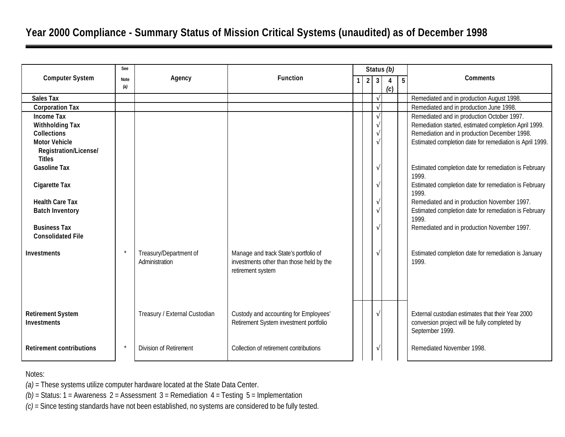|                                 | See         |                               |                                          |                |               | Status (b) |   |                                                                |  |
|---------------------------------|-------------|-------------------------------|------------------------------------------|----------------|---------------|------------|---|----------------------------------------------------------------|--|
| <b>Computer System</b>          | <b>Note</b> | Agency                        | <b>Function</b>                          | 2 <sup>1</sup> | $\mathbf{3}$  | 4          | 5 | <b>Comments</b>                                                |  |
|                                 | (a)         |                               |                                          |                |               | (c)        |   |                                                                |  |
| <b>Sales Tax</b>                |             |                               |                                          |                | $\sqrt{ }$    |            |   | Remediated and in production August 1998.                      |  |
| <b>Corporation Tax</b>          |             |                               |                                          |                |               |            |   | Remediated and in production June 1998.                        |  |
| <b>Income Tax</b>               |             |                               |                                          |                |               |            |   | Remediated and in production October 1997.                     |  |
| <b>Withholding Tax</b>          |             |                               |                                          |                |               |            |   | Remediation started, estimated completion April 1999.          |  |
| <b>Collections</b>              |             |                               |                                          |                | $\sqrt{ }$    |            |   | Remediation and in production December 1998.                   |  |
| <b>Motor Vehicle</b>            |             |                               |                                          |                |               |            |   | Estimated completion date for remediation is April 1999.       |  |
| Registration/License/           |             |                               |                                          |                |               |            |   |                                                                |  |
| <b>Titles</b>                   |             |                               |                                          |                |               |            |   |                                                                |  |
| <b>Gasoline Tax</b>             |             |                               |                                          |                | $\mathcal{L}$ |            |   | Estimated completion date for remediation is February<br>1999. |  |
| <b>Cigarette Tax</b>            |             |                               |                                          |                | $\mathcal{L}$ |            |   | Estimated completion date for remediation is February          |  |
|                                 |             |                               |                                          |                |               |            |   | 1999.                                                          |  |
| <b>Health Care Tax</b>          |             |                               |                                          |                | $\sqrt{ }$    |            |   | Remediated and in production November 1997.                    |  |
| <b>Batch Inventory</b>          |             |                               |                                          |                |               |            |   | Estimated completion date for remediation is February          |  |
|                                 |             |                               |                                          |                |               |            |   | 1999.                                                          |  |
| <b>Business Tax</b>             |             |                               |                                          |                | $\Delta$      |            |   | Remediated and in production November 1997.                    |  |
| <b>Consolidated File</b>        |             |                               |                                          |                |               |            |   |                                                                |  |
|                                 |             |                               |                                          |                |               |            |   |                                                                |  |
| <b>Investments</b>              |             | Treasury/Department of        | Manage and track State's portfolio of    |                | $\sqrt{ }$    |            |   | Estimated completion date for remediation is January           |  |
|                                 |             | Administration                | investments other than those held by the |                |               |            |   | 1999.                                                          |  |
|                                 |             |                               | retirement system                        |                |               |            |   |                                                                |  |
|                                 |             |                               |                                          |                |               |            |   |                                                                |  |
|                                 |             |                               |                                          |                |               |            |   |                                                                |  |
|                                 |             |                               |                                          |                |               |            |   |                                                                |  |
| <b>Retirement System</b>        |             | Treasury / External Custodian | Custody and accounting for Employees'    |                | $\gamma$      |            |   | External custodian estimates that their Year 2000              |  |
| <b>Investments</b>              |             |                               | Retirement System investment portfolio   |                |               |            |   | conversion project will be fully completed by                  |  |
|                                 |             |                               |                                          |                |               |            |   | September 1999.                                                |  |
|                                 |             |                               |                                          |                |               |            |   |                                                                |  |
| <b>Retirement contributions</b> |             | Division of Retirement        | Collection of retirement contributions   |                |               |            |   | Remediated November 1998.                                      |  |
|                                 |             |                               |                                          |                |               |            |   |                                                                |  |

Notes:

*(a)* = These systems utilize computer hardware located at the State Data Center.

*(b)* = Status: 1 = Awareness 2 = Assessment 3 = Remediation 4 = Testing 5 = Implementation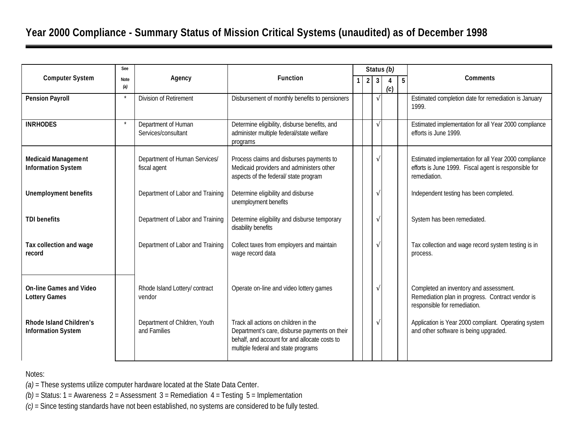|                                                             | See                |                                               |                                                                                                                                                                               |  |  |                                | Status (b) |   |                                                                                                                                |
|-------------------------------------------------------------|--------------------|-----------------------------------------------|-------------------------------------------------------------------------------------------------------------------------------------------------------------------------------|--|--|--------------------------------|------------|---|--------------------------------------------------------------------------------------------------------------------------------|
| <b>Computer System</b>                                      | <b>Note</b><br>(a) | Agency                                        | <b>Function</b>                                                                                                                                                               |  |  | 2 <sup>1</sup><br>$\mathbf{3}$ | (c)        | 5 | <b>Comments</b>                                                                                                                |
| <b>Pension Payroll</b>                                      |                    | <b>Division of Retirement</b>                 | Disbursement of monthly benefits to pensioners                                                                                                                                |  |  | $\sqrt{ }$                     |            |   | Estimated completion date for remediation is January<br>1999.                                                                  |
| <b>INRHODES</b>                                             |                    | Department of Human<br>Services/consultant    | Determine eligibility, disburse benefits, and<br>administer multiple federal/state welfare<br>programs                                                                        |  |  | $\sqrt{ }$                     |            |   | Estimated implementation for all Year 2000 compliance<br>efforts is June 1999.                                                 |
| <b>Medicaid Management</b><br><b>Information System</b>     |                    | Department of Human Services/<br>fiscal agent | Process claims and disburses payments to<br>Medicaid providers and administers other<br>aspects of the federal/ state program                                                 |  |  | V                              |            |   | Estimated implementation for all Year 2000 compliance<br>efforts is June 1999. Fiscal agent is responsible for<br>remediation. |
| <b>Unemployment benefits</b>                                |                    | Department of Labor and Training              | Determine eligibility and disburse<br>unemployment benefits                                                                                                                   |  |  | N                              |            |   | Independent testing has been completed.                                                                                        |
| <b>TDI benefits</b>                                         |                    | Department of Labor and Training              | Determine eligibility and disburse temporary<br>disability benefits                                                                                                           |  |  | J                              |            |   | System has been remediated.                                                                                                    |
| Tax collection and wage<br>record                           |                    | Department of Labor and Training              | Collect taxes from employers and maintain<br>wage record data                                                                                                                 |  |  | V                              |            |   | Tax collection and wage record system testing is in<br>process.                                                                |
| <b>On-line Games and Video</b><br><b>Lottery Games</b>      |                    | Rhode Island Lottery/contract<br>vendor       | Operate on-line and video lottery games                                                                                                                                       |  |  | N                              |            |   | Completed an inventory and assessment.<br>Remediation plan in progress. Contract vendor is<br>responsible for remediation.     |
| <b>Rhode Island Children's</b><br><b>Information System</b> |                    | Department of Children, Youth<br>and Families | Track all actions on children in the<br>Department's care, disburse payments on their<br>behalf, and account for and allocate costs to<br>multiple federal and state programs |  |  |                                |            |   | Application is Year 2000 compliant. Operating system<br>and other software is being upgraded.                                  |

Notes:

*(a)* = These systems utilize computer hardware located at the State Data Center.

 $(b)$  = Status: 1 = Awareness 2 = Assessment 3 = Remediation 4 = Testing 5 = Implementation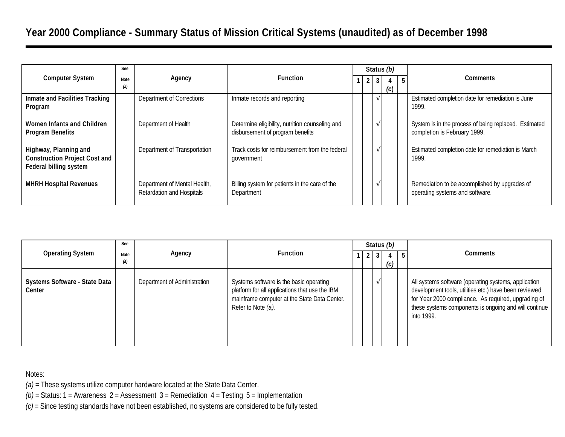|                                                                                         | See         |                                                           |                                                                                     |  | Status (b) |     |                                                                                       |
|-----------------------------------------------------------------------------------------|-------------|-----------------------------------------------------------|-------------------------------------------------------------------------------------|--|------------|-----|---------------------------------------------------------------------------------------|
| <b>Computer System</b>                                                                  | <b>Note</b> | Agency                                                    | <b>Function</b>                                                                     |  |            |     | Comments                                                                              |
|                                                                                         | (a)         |                                                           |                                                                                     |  |            | (c) |                                                                                       |
| Inmate and Facilities Tracking<br>Program                                               |             | Department of Corrections                                 | Inmate records and reporting                                                        |  |            |     | Estimated completion date for remediation is June<br>1999.                            |
| Women Infants and Children<br><b>Program Benefits</b>                                   |             | Department of Health                                      | Determine eligibility, nutrition counseling and<br>disbursement of program benefits |  |            |     | System is in the process of being replaced. Estimated<br>completion is February 1999. |
| Highway, Planning and<br><b>Construction Project Cost and</b><br>Federal billing system |             | Department of Transportation                              | Track costs for reimbursement from the federal<br>government                        |  |            |     | Estimated completion date for remediation is March<br>1999.                           |
| <b>MHRH Hospital Revenues</b>                                                           |             | Department of Mental Health,<br>Retardation and Hospitals | Billing system for patients in the care of the<br>Department                        |  |            |     | Remediation to be accomplished by upgrades of<br>operating systems and software.      |

| <b>Operating System</b>                 | See<br><b>Note</b><br>(a) | Agency                       | <b>Function</b>                                                                                                                                                 |  | Status (b)<br>(c) | .b | Comments                                                                                                                                                                                                                                    |
|-----------------------------------------|---------------------------|------------------------------|-----------------------------------------------------------------------------------------------------------------------------------------------------------------|--|-------------------|----|---------------------------------------------------------------------------------------------------------------------------------------------------------------------------------------------------------------------------------------------|
| Systems Software - State Data<br>Center |                           | Department of Administration | Systems software is the basic operating<br>platform for all applications that use the IBM<br>mainframe computer at the State Data Center.<br>Refer to Note (a). |  |                   |    | All systems software (operating systems, application<br>development tools, utilities etc.) have been reviewed<br>for Year 2000 compliance. As required, upgrading of<br>these systems components is ongoing and will continue<br>into 1999. |

Notes:

*(a)* = These systems utilize computer hardware located at the State Data Center.

*(b)* = Status: 1 = Awareness 2 = Assessment 3 = Remediation 4 = Testing 5 = Implementation